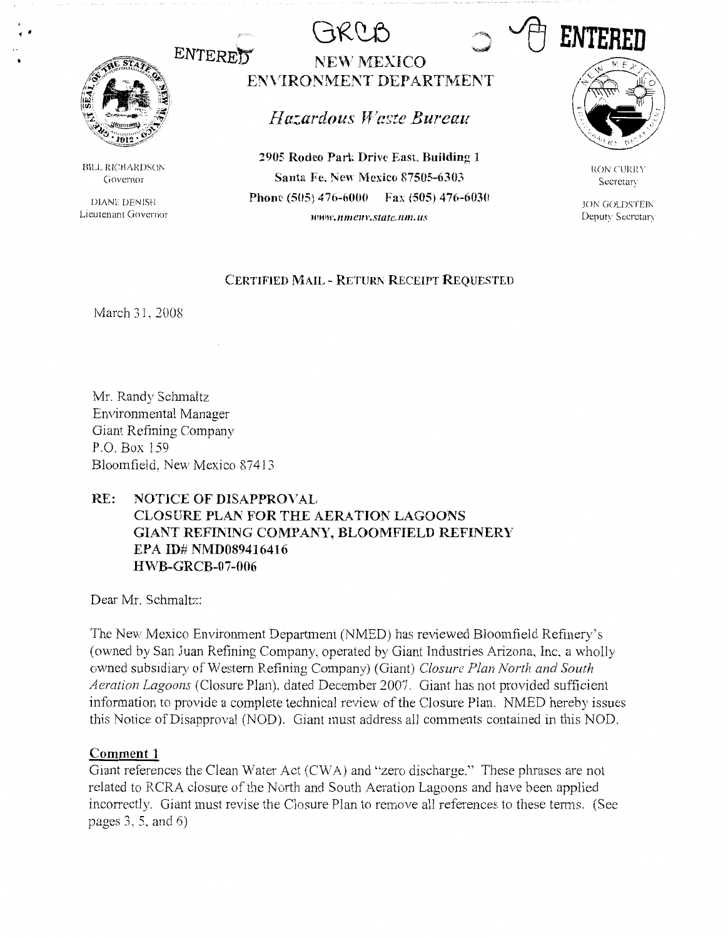

• Ii

**BILL RICHARDSON** Governor

DIANE DENISH Lieutenant Governor

# **ENTERED** NEW MEXICO **ENVIRONMENT DEPARTMENT**

*Hazardous Waste Bureau* 

**2905 Rodeo Park Drive East, Building 1 Santa Fe. New Mexico 87505-6303 Phone (505) 476-6000 Fax (505) 476-6030 ww11•.11me11r.state.11111.us** 



RON CURRY **Secretary** 

JON GOLDSTEIN Deputy Secretary

### **CERTIFIED MAIL** - **RETURl\ RECEIPT REQUESTED**

March 31, 2008

Mr. Randy Schmaltz Environmental Manager Giant Refining Company P.O. Box 159 Bloomfield, New Mexico 87413

# **RE: NOTICE OF DISAPPROVAL CLOSURE PLAN FOR THE AERATION LAGOONS GIANT REFINING COMPANY, BLOOMFIELD REFINERY EPA ID# NMD089416416 HWB-GRCB-07-006**

Dear Mr. Schmaltz:

The New Mexico Environment Department (NMED) has reviewed Bloomfield Refinery's (owned by San Juan Refining Company, operated by Giant Industries Arizona, Inc, a wholly owned subsidiary of Western Refining Company) (Giant) *Closure Plan North and South Aeration Lagoons* (Closure Plan), dated December 2007. Giant has not provided sufficient information to provide a complete technical review of the Closure Plan. NMED hereby issues this Notice of Disapproval (NOD). Giant must address all comments contained in this NOD.

# **Comment 1**

Giant references the Clean Water Act (CW A) and "zero discharge." These phrases are not related to RCRA closure of the North and South Aeration Lagoons and have been applied incorrectly. Giant must revise the Closure Plan to remove all references to these terms. (See pages 3, 5, and 6)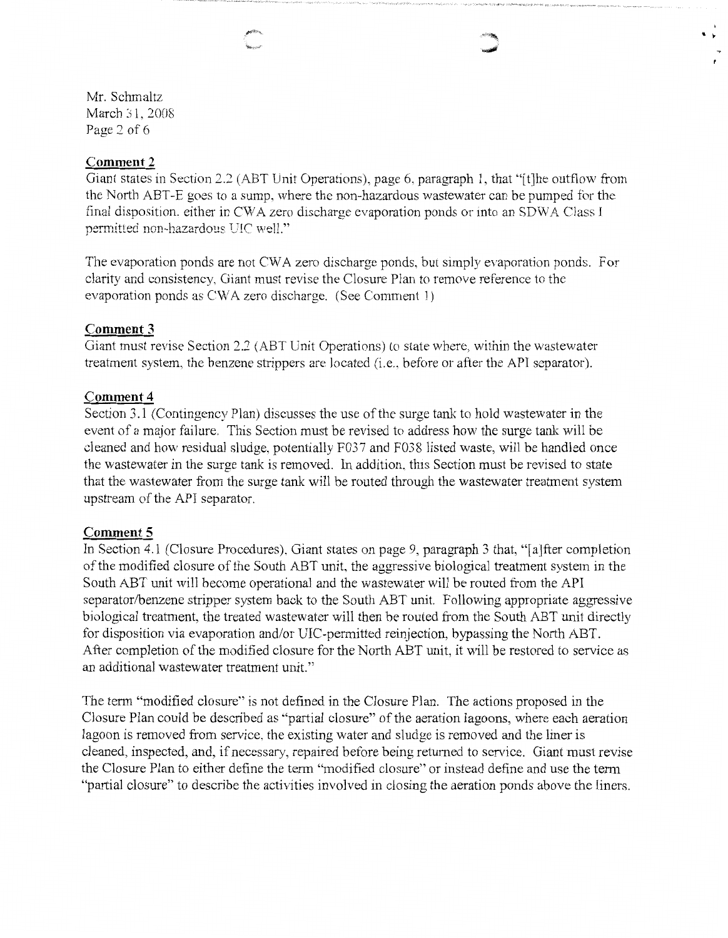$\bullet$  .

Mr. Schmaltz March 31, 2008 Page *2* of 6

## **Comment2**

Giant states in Section 2.2 (ABT Unit Operations), page 6, paragraph 1, that "[t]he outflow from the North ABT-E goes to a sump, where the non-hazardous wastewater can be pumped for the final disposition. either in CW A zero discharge evaporation ponds or into an SDW A Class I permitted non-hazardous UIC well."

The evaporation ponds are not CWA zero discharge ponds, but simply evaporation ponds. For clarity and consistency, Giant must revise the Closure Plan to remove reference to the evaporation ponds as CW A zero discharge. (See Comment 1)

## **Comment 3**

Giant must revise Section 2.2 (ABT Unit Operations) to state where, within the wastewater treatment system, the benzene strippers are located (i.e., before or after the API separator).

## **Comment4**

Section 3.1 (Contingency Plan) discusses the use of the surge tank to hold wastewater in the event of a major failure. This Section must be revised to address how the surge tank will be cleaned and how residual sludge, potentially F037 and F038 listed waste, will be handled once the wastewater in the surge tank is removed. In addition, this Section must be revised to state that the wastewater from the surge tank will be routed through the wastewater treatment system upstream of the API separator.

## **Comment 5**

In Section 4.1 (Closure Procedures), Giant states on page 9, paragraph 3 that, "[a]fter completion of the modified closure of the South ABT unit, the aggressive biological treatment system in the South ABT unit will become operational and the wastewater will be routed from the API separator/benzene stripper system back to the South ABT unit. Following appropriate aggressive biological treatment, the treated wastewater will then be routed from the South ABT unit directly for disposition via evaporation and/or DIC-permitted reinjection, bypassing the North ABT. After completion of the modified closure for the North ABT unit, it will be restored to service as an additional wastewater treatment unit."

The term "modified closure" is not defined in the Closure Plan. The actions proposed in the Closure Plan could be described as "partial closure" of the aeration lagoons, where each aeration lagoon is removed from service, the existing water and sludge is removed and the liner is cleaned, inspected, and, if necessary, repaired before being returned to service. Giant must revise the Closure Plan to either define the tenn "modified closure" or instead define and use the term "partial closure" to describe the activities involved in closing the aeration ponds above the liners.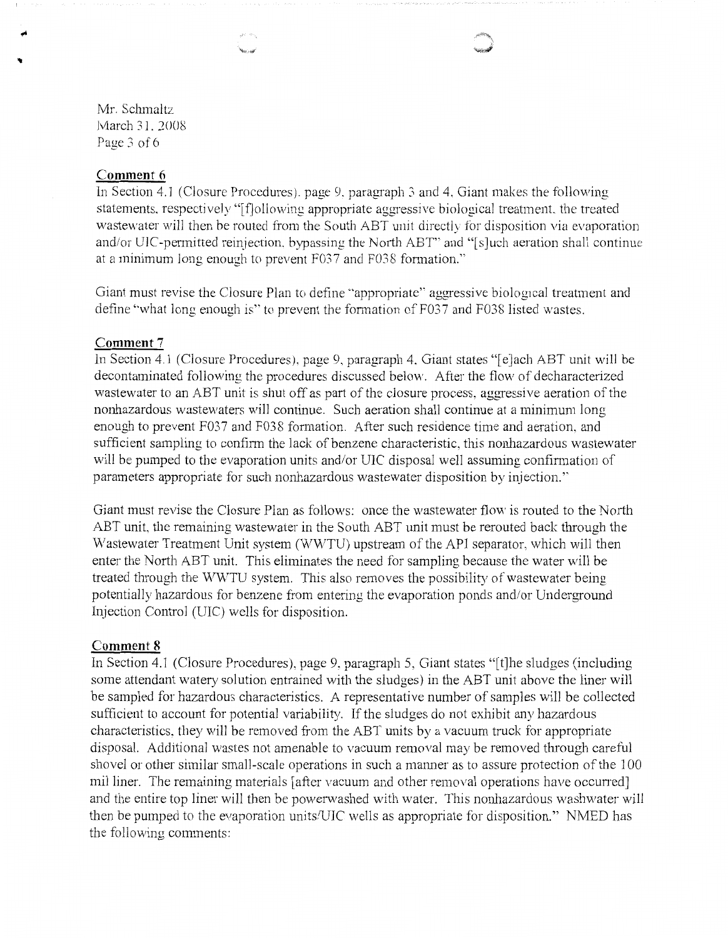**Second** 



Mr. Schmaltz March 31. 2008 Page 3 of 6

#### **Comment 6**

In Section 4.1 (Closure Procedures), page 9, paragraph 3 and 4, Giant makes the following statements, respectively "[f]ollowing appropriate aggressive biological treatment, the treated wastewater will then be routed from the South ABT unit directly for disposition via evaporation and/or UIC-permitted reinjection. bypassing the North ABT" and "[s]uch aeration shall continue at a minimum long enough to prevent F037 and F038 fonnation."

Giant must revise the Closure Plan to define "appropriate" aggressive biological treatment and define "what long enough is" to prevent the formation of F037 and F038 listed wastes.

## **Comment 7**

In Section 4.1 (Closure Procedures). page 9, paragraph 4, Giant states "[e]ach ABT unit will be decontaminated following the procedures discussed below. After the flow of decharacterized wastewater to an ABT unit is shut off as part of the closure process, aggressive aeration of the nonhazardous wastewaters will continue. Such aeration shall continue at a minimum long enough to prevent F037 and F038 formation. After such residence time and aeration, and sufficient sampling to confirm the lack of benzene characteristic, this nonhazardous wastewater will be pumped to the evaporation units and/or UIC disposal well assuming confirmation of parameters appropriate for such nonhazardous wastewater disposition by injection.''

Giant must revise the Closure Plan as follows: once the wastewater flow is routed to the North ABT unit, the remaining wastewater in the South ABT unit must be rerouted back through the Wastewater Treatment Unit system (WWTU) upstream of the API separator, which will then enter the North ABT unit. This eliminates the need for sampling because the water will be treated through the WWTU system. This also removes the possibility of wastewater being potentially hazardous for benzene from entering the evaporation ponds and/or Underground Injection Control (UIC) wells for disposition.

## **Comment 8**

In Section 4.1 (Closure Procedures), page 9, paragraph 5, Giant states "[t]he sludges (including some attendant watery solution entrained with the sludges) in the ABT unit above the liner will be sampled for hazardous characteristics. A representative number of samples will be collected sufficient to account for potential variability. If the sludges do not exhibit any hazardous characteristics. they will be removed from the ABT units by a vacuum truck for appropriate disposal. Additional wastes not amenable to vacuum removal may be removed through careful shovel or other similar small-scale operations in such a manner as to assure protection of the 100 mil liner. The remaining materials [after vacuum and other removal operations have occurred] and the entire top liner will then be powenvashed with water. This nonhazardous washwater will then be pumped to the evaporation units/UJC wells as appropriate for disposition." NMED has the following comments: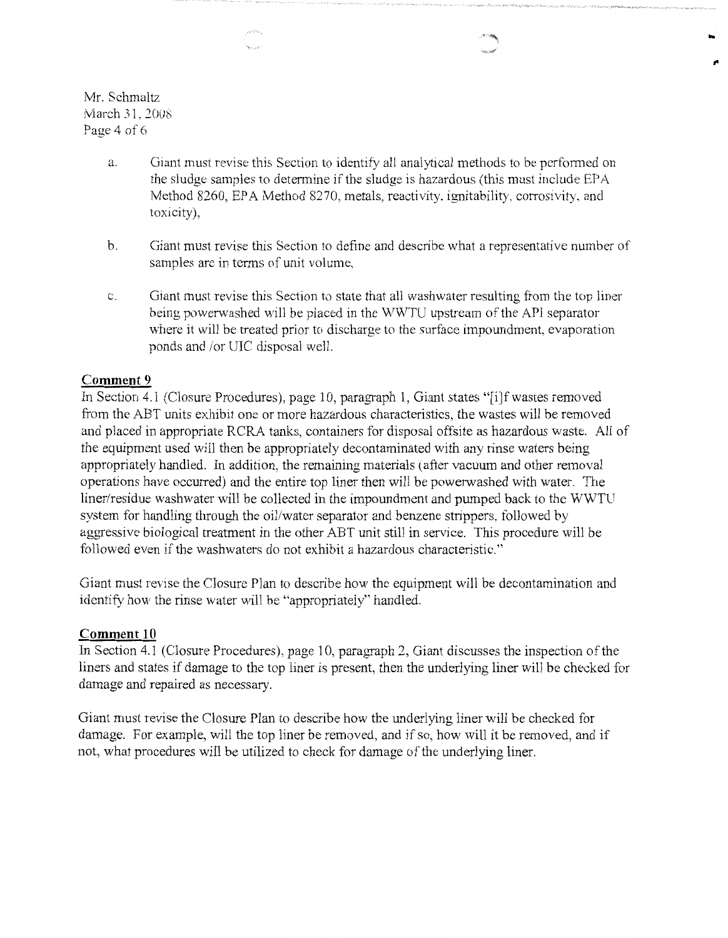Mr. Schmaltz March 31, 2008 Page 4 of 6

> a. Giant must revise this Section to identify all analytical methods to be performed on the sludge samples to determine if the sludge is hazardous (this must include EPA Method 8260, EPA Method 8270, metals, reactivity, ignitability, corrosivity, and toxicity),

....

- b. Giant must revise this Section to define and describe what a representative number of samples are in terms of unit volume,
- c. Giant must revise this Section to state that all washwater resulting from the top liner being powerwashed will be placed in the WWTU upstream of the API separator where it will be treated prior to discharge to the surface impoundment, evaporation ponds and /or UIC disposal well.

## **Comment 9**

In Section 4.1 (Closure Procedures), page 10, paragraph 1, Giant states "[i]f wastes removed from the ABT units exhibit one or more hazardous characteristics, the wastes will be removed and placed in appropriate RCRA tanks, containers for disposal offsite as hazardous waste. All of the equipment used will then be appropriately decontaminated with any rinse waters being appropriately handled. In addition, the remaining materials ( after vacuum and other removal operations have occurred) and the entire top liner then will be powerwashed with water. The liner/residue washwater will be collected in the impoundment and pumped back to the WWTU system for handling through the oil/water separator and benzene strippers, followed by aggressive biological treatment in the other ABT unit still in service. This procedure will be followed even if the washwaters do not exhibit a hazardous characteristic."

Giant must revise the Closure Plan to describe how the equipment will be decontamination and identify how the rinse water will be "appropriately" handled.

### **Comment 10**

In Section 4.1 (Closure Procedures), page 10, paragraph 2, Giant discusses the inspection of the liners and states if damage to the top liner is present, then the underlying liner will be checked for damage and repaired as necessary.

Giant must revise the Closure Plan to describe how the underlying liner will be checked for damage. For example, will the top liner be removed, and if so, how will it be removed, and if not, what procedures will be utilized to check for damage of the underlying liner.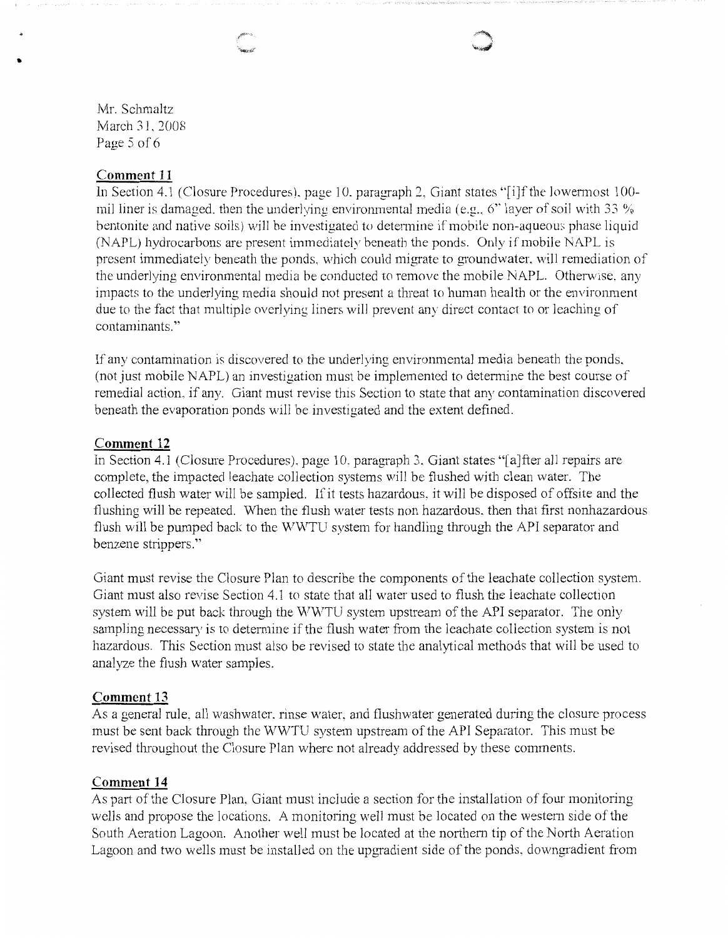Mr. Schmaltz March 31, 2008 Page 5 of 6

"

## **Comment 11**

In Section 4.1 (Closure Procedures), page 10. paragraph 2, Giant states "[i]f the lowermost 100mil liner is damaged, then the underlying environmental media (e.g., 6" layer of soil with 33 % bentonite and native soils) will be investigated to determine if mobile non-aqueous phase liquid (NAPL) hydrocarbons are present immediately beneath the ponds. Only if mobile NAPL is present immediately beneath the ponds, which could migrate to groundwater, will remediation of the underlying environmental media be conducted to remove the mobile NAPL. Otherwise, any impacts to the underlying media should not present a threat to human health or the environment due to the fact that multiple overlying liners will prevent any direct contact to or leaching of contaminants."

If any contamination is discovered to the underlying environmental media beneath the ponds. (not just mobile NAPL) an investigation must be implemented to determine the best course of remedial action. if any. Giant must revise this Section to state that any contamination discovered beneath the evaporation ponds will be investigated and the extent defined.

#### **Comment 12**

In Section 4.1 (Closure Procedures). page 10. paragraph 3. Giant states "[a]fter all repairs are complete, the impacted leachate collection systems will be flushed with clean water. The collected flush water will be sampled. If it tests hazardous. it will be disposed of offsite and the flushing will be repeated. When the flush water tests non hazardous. then that first nonhazardous flush will be pumped back to the WWTU system for handling through the API separator and benzene strippers."

Giant must revise the Closure Plan to describe the components of the leachate collection system. Giant must also revise Section 4.1 to state that all water used to flush the leachate collection system will be put back through the  $\rm WWTU$  system upstream of the API separator. The only sampling necessary is to determine if the flush water from the leachate collection system is not hazardous. This Section must also be revised to state the analytical methods that will be used to analyze the flush water samples.

#### **Comment 13**

As a general rule, all washwater, rinse water, and flushwater generated during the closure process must be sent back through the WWTU system upstream of the API Separator. This must be revised throughout the Closure Plan where not already addressed by these comments.

## **Comment 14**

As part of the Closure Plan, Giant must include a section for the installation of four monitoring wells and propose the locations. A monitoring well must be located on the western side of the South Aeration Lagoon. Another well must be located at the northern tip of the North Aeration Lagoon and two wells must be installed on the upgradient side of the ponds. downgradient from